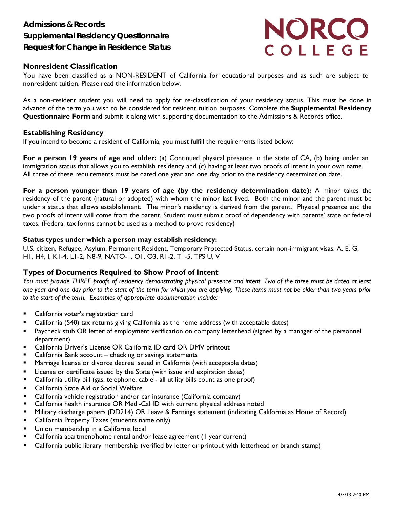

## **Nonresident Classification**

You have been classified as a NON-RESIDENT of California for educational purposes and as such are subject to nonresident tuition. Please read the information below.

As a non-resident student you will need to apply for re-classification of your residency status. This must be done in advance of the term you wish to be considered for resident tuition purposes. Complete the **Supplemental Residency Questionnaire Form** and submit it along with supporting documentation to the Admissions & Records office.

### **Establishing Residency**

If you intend to become a resident of California, you must fulfill the requirements listed below:

**For a person 19 years of age and older:** (a) Continued physical presence in the state of CA, (b) being under an immigration status that allows you to establish residency and (c) having at least two proofs of intent in your own name. All three of these requirements must be dated one year and one day prior to the residency determination date.

**For a person younger than 19 years of age (by the residency determination date):** A minor takes the residency of the parent (natural or adopted) with whom the minor last lived. Both the minor and the parent must be under a status that allows establishment. The minor's residency is derived from the parent. Physical presence and the two proofs of intent will come from the parent. Student must submit proof of dependency with parents' state or federal taxes. (Federal tax forms cannot be used as a method to prove residency)

#### **Status types under which a person may establish residency:**

U.S. citizen, Refugee, Asylum, Permanent Resident, Temporary Protected Status, certain non-immigrant visas: A, E, G, H1, H4, I, K1-4, L1-2, N8-9, NATO-1, O1, O3, R1-2, T1-5, TPS U, V

## **Types of Documents Required to Show Proof of Intent**

You must provide THREE proofs of residency demonstrating physical presence and intent. Two of the three must be dated at least one year and one day prior to the start of the term for which you are applying. These items must not be older than two years prior *to the start of the term. Examples of appropriate documentation include:*

- California voter's registration card
- California (540) tax returns giving California as the home address (with acceptable dates)
- **Paycheck stub OR letter of employment verification on company letterhead (signed by a manager of the personnel** department)
- California Driver's License OR California ID card OR DMV printout
- California Bank account checking or savings statements
- **Marriage license or divorce decree issued in California (with acceptable dates)**
- License or certificate issued by the State (with issue and expiration dates)
- California utility bill (gas, telephone, cable all utility bills count as one proof)
- California State Aid or Social Welfare
- California vehicle registration and/or car insurance (California company)
- California health insurance OR Medi-Cal ID with current physical address noted
- Military discharge papers (DD214) OR Leave & Earnings statement (indicating California as Home of Record)
- California Property Taxes (students name only)
- **Union membership in a California local**
- California apartment/home rental and/or lease agreement (1 year current)
- California public library membership (verified by letter or printout with letterhead or branch stamp)